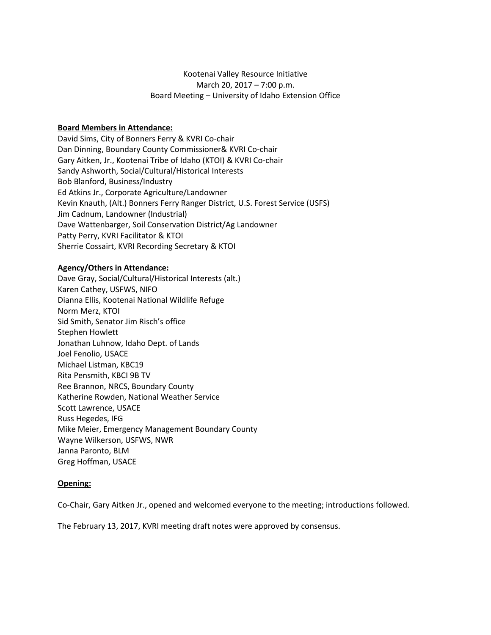# Kootenai Valley Resource Initiative March 20, 2017 – 7:00 p.m. Board Meeting – University of Idaho Extension Office

#### **Board Members in Attendance:**

David Sims, City of Bonners Ferry & KVRI Co-chair Dan Dinning, Boundary County Commissioner& KVRI Co-chair Gary Aitken, Jr., Kootenai Tribe of Idaho (KTOI) & KVRI Co-chair Sandy Ashworth, Social/Cultural/Historical Interests Bob Blanford, Business/Industry Ed Atkins Jr., Corporate Agriculture/Landowner Kevin Knauth, (Alt.) Bonners Ferry Ranger District, U.S. Forest Service (USFS) Jim Cadnum, Landowner (Industrial) Dave Wattenbarger, Soil Conservation District/Ag Landowner Patty Perry, KVRI Facilitator & KTOI Sherrie Cossairt, KVRI Recording Secretary & KTOI

#### **Agency/Others in Attendance:**

Dave Gray, Social/Cultural/Historical Interests (alt.) Karen Cathey, USFWS, NIFO Dianna Ellis, Kootenai National Wildlife Refuge Norm Merz, KTOI Sid Smith, Senator Jim Risch's office Stephen Howlett Jonathan Luhnow, Idaho Dept. of Lands Joel Fenolio, USACE Michael Listman, KBC19 Rita Pensmith, KBCI 9B TV Ree Brannon, NRCS, Boundary County Katherine Rowden, National Weather Service Scott Lawrence, USACE Russ Hegedes, IFG Mike Meier, Emergency Management Boundary County Wayne Wilkerson, USFWS, NWR Janna Paronto, BLM Greg Hoffman, USACE

#### **Opening:**

Co-Chair, Gary Aitken Jr., opened and welcomed everyone to the meeting; introductions followed.

The February 13, 2017, KVRI meeting draft notes were approved by consensus.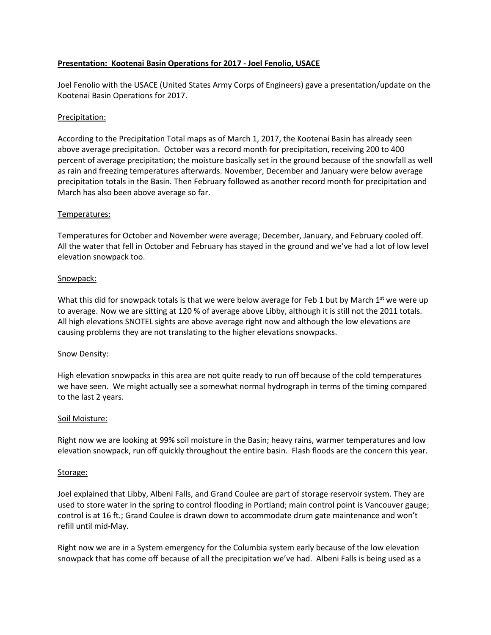## **Presentation: Kootenai Basin Operations for 2017 - Joel Fenolio, USACE**

Joel Fenolio with the USACE (United States Army Corps of Engineers) gave a presentation/update on the Kootenai Basin Operations for 2017.

## Precipitation:

According to the Precipitation Total maps as of March 1, 2017, the Kootenai Basin has already seen above average precipitation. October was a record month for precipitation, receiving 200 to 400 percent of average precipitation; the moisture basically set in the ground because of the snowfall as well as rain and freezing temperatures afterwards. November, December and January were below average precipitation totals in the Basin. Then February followed as another record month for precipitation and March has also been above average so far.

## Temperatures:

Temperatures for October and November were average; December, January, and February cooled off. All the water that fell in October and February has stayed in the ground and we've had a lot of low level elevation snowpack too.

#### Snowpack:

What this did for snowpack totals is that we were below average for Feb 1 but by March  $1<sup>st</sup>$  we were up to average. Now we are sitting at 120 % of average above Libby, although it is still not the 2011 totals. All high elevations SNOTEL sights are above average right now and although the low elevations are causing problems they are not translating to the higher elevations snowpacks.

## Snow Density:

High elevation snowpacks in this area are not quite ready to run off because of the cold temperatures we have seen. We might actually see a somewhat normal hydrograph in terms of the timing compared to the last 2 years.

## Soil Moisture:

Right now we are looking at 99% soil moisture in the Basin; heavy rains, warmer temperatures and low elevation snowpack, run off quickly throughout the entire basin. Flash floods are the concern this year.

#### Storage:

Joel explained that Libby, Albeni Falls, and Grand Coulee are part of storage reservoir system. They are used to store water in the spring to control flooding in Portland; main control point is Vancouver gauge; control is at 16 ft.; Grand Coulee is drawn down to accommodate drum gate maintenance and won't refill until mid-May.

Right now we are in a System emergency for the Columbia system early because of the low elevation snowpack that has come off because of all the precipitation we've had. Albeni Falls is being used as a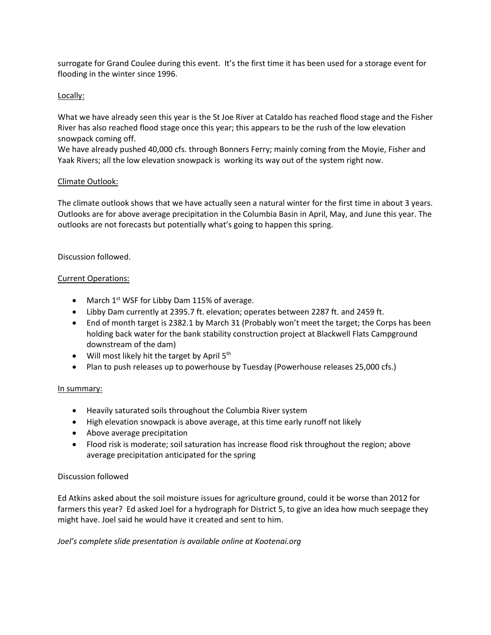surrogate for Grand Coulee during this event. It's the first time it has been used for a storage event for flooding in the winter since 1996.

# Locally:

What we have already seen this year is the St Joe River at Cataldo has reached flood stage and the Fisher River has also reached flood stage once this year; this appears to be the rush of the low elevation snowpack coming off.

We have already pushed 40,000 cfs. through Bonners Ferry; mainly coming from the Moyie, Fisher and Yaak Rivers; all the low elevation snowpack is working its way out of the system right now.

## Climate Outlook:

The climate outlook shows that we have actually seen a natural winter for the first time in about 3 years. Outlooks are for above average precipitation in the Columbia Basin in April, May, and June this year. The outlooks are not forecasts but potentially what's going to happen this spring.

## Discussion followed.

## Current Operations:

- March  $1^{st}$  WSF for Libby Dam 115% of average.
- Libby Dam currently at 2395.7 ft. elevation; operates between 2287 ft. and 2459 ft.
- End of month target is 2382.1 by March 31 (Probably won't meet the target; the Corps has been holding back water for the bank stability construction project at Blackwell Flats Campground downstream of the dam)
- Will most likely hit the target by April  $5<sup>th</sup>$
- Plan to push releases up to powerhouse by Tuesday (Powerhouse releases 25,000 cfs.)

## In summary:

- Heavily saturated soils throughout the Columbia River system
- High elevation snowpack is above average, at this time early runoff not likely
- Above average precipitation
- Flood risk is moderate; soil saturation has increase flood risk throughout the region; above average precipitation anticipated for the spring

## Discussion followed

Ed Atkins asked about the soil moisture issues for agriculture ground, could it be worse than 2012 for farmers this year? Ed asked Joel for a hydrograph for District 5, to give an idea how much seepage they might have. Joel said he would have it created and sent to him.

*Joel's complete slide presentation is available online at Kootenai.org*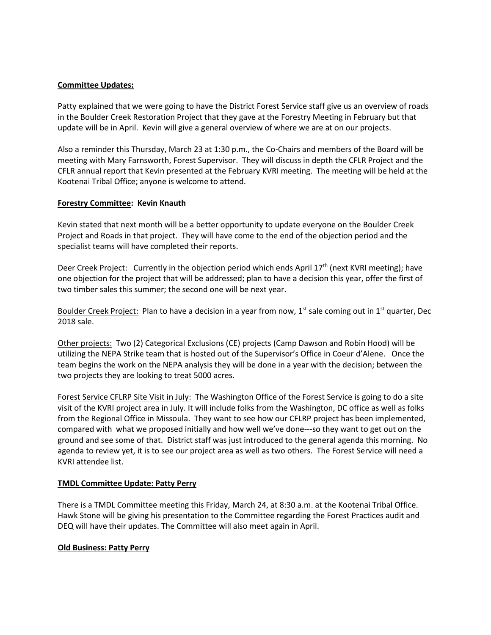## **Committee Updates:**

Patty explained that we were going to have the District Forest Service staff give us an overview of roads in the Boulder Creek Restoration Project that they gave at the Forestry Meeting in February but that update will be in April. Kevin will give a general overview of where we are at on our projects.

Also a reminder this Thursday, March 23 at 1:30 p.m., the Co-Chairs and members of the Board will be meeting with Mary Farnsworth, Forest Supervisor. They will discuss in depth the CFLR Project and the CFLR annual report that Kevin presented at the February KVRI meeting. The meeting will be held at the Kootenai Tribal Office; anyone is welcome to attend.

#### **Forestry Committee: Kevin Knauth**

Kevin stated that next month will be a better opportunity to update everyone on the Boulder Creek Project and Roads in that project. They will have come to the end of the objection period and the specialist teams will have completed their reports.

Deer Creek Project: Currently in the objection period which ends April 17<sup>th</sup> (next KVRI meeting); have one objection for the project that will be addressed; plan to have a decision this year, offer the first of two timber sales this summer; the second one will be next year.

Boulder Creek Project: Plan to have a decision in a year from now,  $1^{st}$  sale coming out in  $1^{st}$  quarter, Dec 2018 sale.

Other projects: Two (2) Categorical Exclusions (CE) projects (Camp Dawson and Robin Hood) will be utilizing the NEPA Strike team that is hosted out of the Supervisor's Office in Coeur d'Alene. Once the team begins the work on the NEPA analysis they will be done in a year with the decision; between the two projects they are looking to treat 5000 acres.

Forest Service CFLRP Site Visit in July: The Washington Office of the Forest Service is going to do a site visit of the KVRI project area in July. It will include folks from the Washington, DC office as well as folks from the Regional Office in Missoula. They want to see how our CFLRP project has been implemented, compared with what we proposed initially and how well we've done---so they want to get out on the ground and see some of that. District staff was just introduced to the general agenda this morning. No agenda to review yet, it is to see our project area as well as two others. The Forest Service will need a KVRI attendee list.

#### **TMDL Committee Update: Patty Perry**

There is a TMDL Committee meeting this Friday, March 24, at 8:30 a.m. at the Kootenai Tribal Office. Hawk Stone will be giving his presentation to the Committee regarding the Forest Practices audit and DEQ will have their updates. The Committee will also meet again in April.

#### **Old Business: Patty Perry**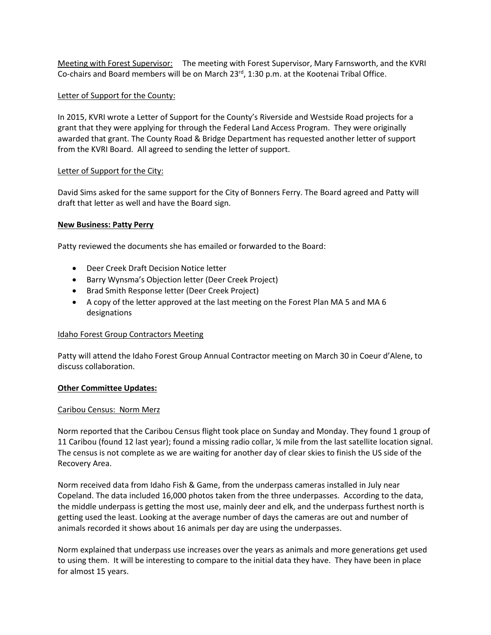Meeting with Forest Supervisor: The meeting with Forest Supervisor, Mary Farnsworth, and the KVRI Co-chairs and Board members will be on March 23<sup>rd</sup>, 1:30 p.m. at the Kootenai Tribal Office.

## Letter of Support for the County:

In 2015, KVRI wrote a Letter of Support for the County's Riverside and Westside Road projects for a grant that they were applying for through the Federal Land Access Program. They were originally awarded that grant. The County Road & Bridge Department has requested another letter of support from the KVRI Board. All agreed to sending the letter of support.

#### Letter of Support for the City:

David Sims asked for the same support for the City of Bonners Ferry. The Board agreed and Patty will draft that letter as well and have the Board sign.

#### **New Business: Patty Perry**

Patty reviewed the documents she has emailed or forwarded to the Board:

- Deer Creek Draft Decision Notice letter
- Barry Wynsma's Objection letter (Deer Creek Project)
- Brad Smith Response letter (Deer Creek Project)
- A copy of the letter approved at the last meeting on the Forest Plan MA 5 and MA 6 designations

## Idaho Forest Group Contractors Meeting

Patty will attend the Idaho Forest Group Annual Contractor meeting on March 30 in Coeur d'Alene, to discuss collaboration.

## **Other Committee Updates:**

#### Caribou Census: Norm Merz

Norm reported that the Caribou Census flight took place on Sunday and Monday. They found 1 group of 11 Caribou (found 12 last year); found a missing radio collar, ¼ mile from the last satellite location signal. The census is not complete as we are waiting for another day of clear skies to finish the US side of the Recovery Area.

Norm received data from Idaho Fish & Game, from the underpass cameras installed in July near Copeland. The data included 16,000 photos taken from the three underpasses. According to the data, the middle underpass is getting the most use, mainly deer and elk, and the underpass furthest north is getting used the least. Looking at the average number of days the cameras are out and number of animals recorded it shows about 16 animals per day are using the underpasses.

Norm explained that underpass use increases over the years as animals and more generations get used to using them. It will be interesting to compare to the initial data they have. They have been in place for almost 15 years.